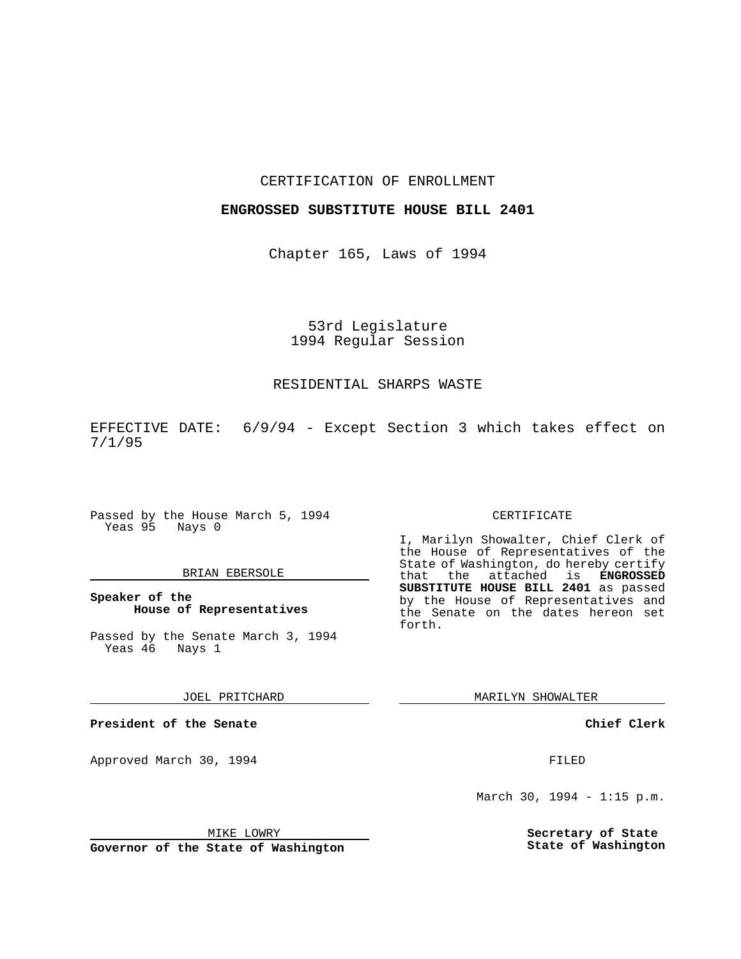## CERTIFICATION OF ENROLLMENT

# **ENGROSSED SUBSTITUTE HOUSE BILL 2401**

Chapter 165, Laws of 1994

53rd Legislature 1994 Regular Session

#### RESIDENTIAL SHARPS WASTE

EFFECTIVE DATE: 6/9/94 - Except Section 3 which takes effect on 7/1/95

Passed by the House March 5, 1994 Yeas 95 Nays 0

# BRIAN EBERSOLE

**Speaker of the House of Representatives**

Passed by the Senate March 3, 1994 Yeas 46 Nays 1

JOEL PRITCHARD

**President of the Senate**

Approved March 30, 1994 **FILED** 

## CERTIFICATE

I, Marilyn Showalter, Chief Clerk of the House of Representatives of the State of Washington, do hereby certify that the attached is **ENGROSSED SUBSTITUTE HOUSE BILL 2401** as passed by the House of Representatives and the Senate on the dates hereon set forth.

MARILYN SHOWALTER

**Chief Clerk**

March 30, 1994 - 1:15 p.m.

**Secretary of State State of Washington**

MIKE LOWRY

**Governor of the State of Washington**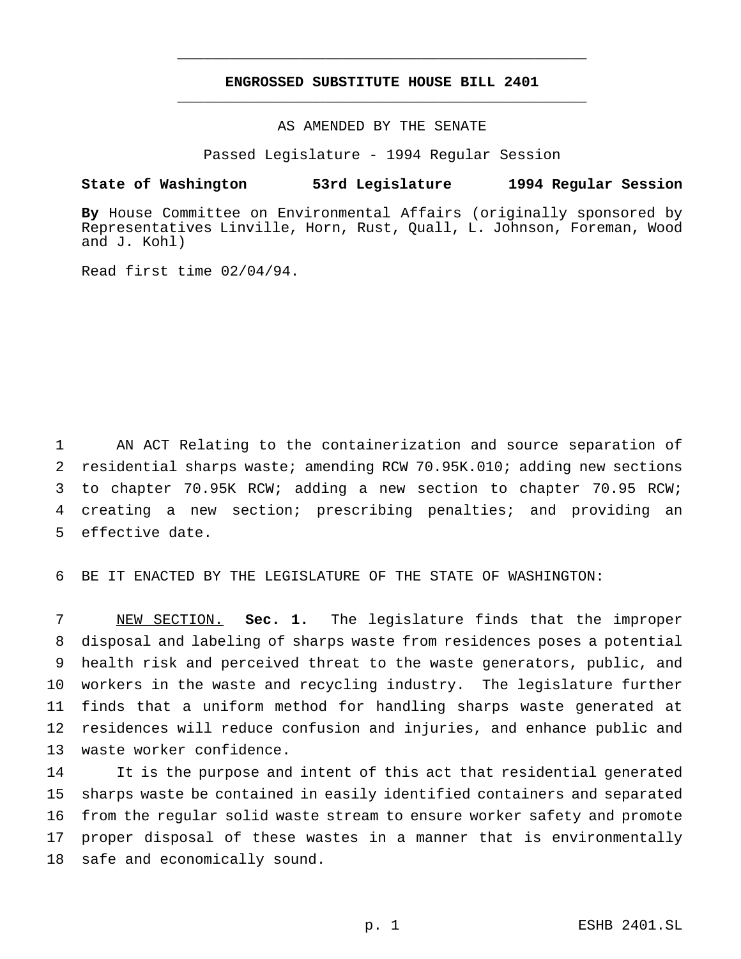# **ENGROSSED SUBSTITUTE HOUSE BILL 2401** \_\_\_\_\_\_\_\_\_\_\_\_\_\_\_\_\_\_\_\_\_\_\_\_\_\_\_\_\_\_\_\_\_\_\_\_\_\_\_\_\_\_\_\_\_\_\_

\_\_\_\_\_\_\_\_\_\_\_\_\_\_\_\_\_\_\_\_\_\_\_\_\_\_\_\_\_\_\_\_\_\_\_\_\_\_\_\_\_\_\_\_\_\_\_

AS AMENDED BY THE SENATE

Passed Legislature - 1994 Regular Session

#### **State of Washington 53rd Legislature 1994 Regular Session**

**By** House Committee on Environmental Affairs (originally sponsored by Representatives Linville, Horn, Rust, Quall, L. Johnson, Foreman, Wood and J. Kohl)

Read first time 02/04/94.

 AN ACT Relating to the containerization and source separation of residential sharps waste; amending RCW 70.95K.010; adding new sections to chapter 70.95K RCW; adding a new section to chapter 70.95 RCW; creating a new section; prescribing penalties; and providing an effective date.

BE IT ENACTED BY THE LEGISLATURE OF THE STATE OF WASHINGTON:

 NEW SECTION. **Sec. 1.** The legislature finds that the improper disposal and labeling of sharps waste from residences poses a potential health risk and perceived threat to the waste generators, public, and workers in the waste and recycling industry. The legislature further finds that a uniform method for handling sharps waste generated at residences will reduce confusion and injuries, and enhance public and waste worker confidence.

 It is the purpose and intent of this act that residential generated sharps waste be contained in easily identified containers and separated from the regular solid waste stream to ensure worker safety and promote proper disposal of these wastes in a manner that is environmentally safe and economically sound.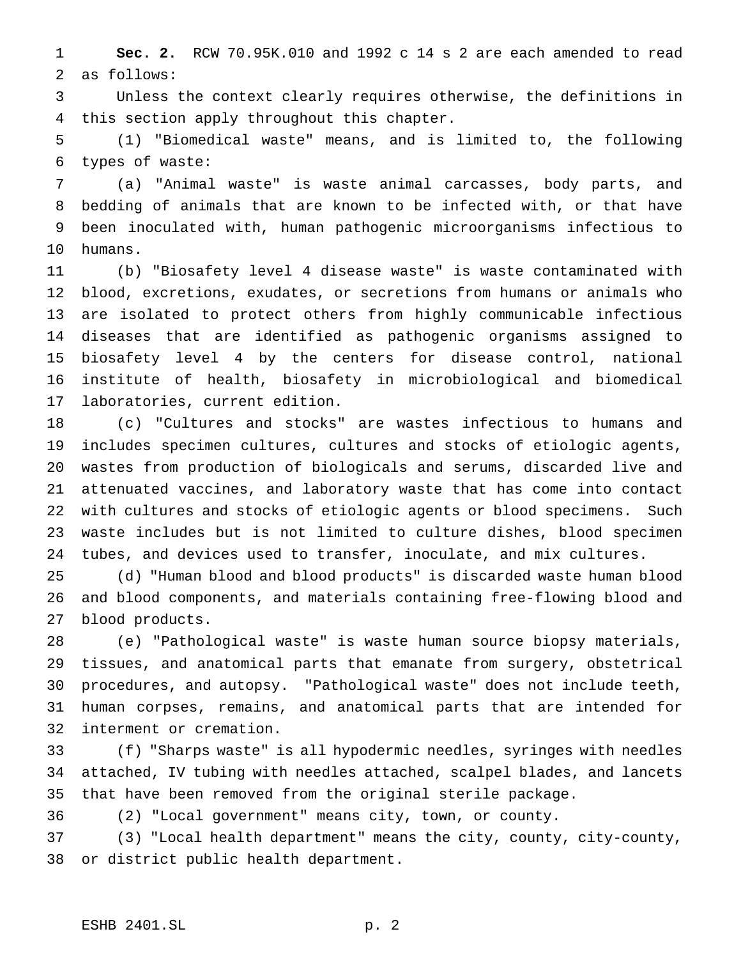**Sec. 2.** RCW 70.95K.010 and 1992 c 14 s 2 are each amended to read as follows:

 Unless the context clearly requires otherwise, the definitions in this section apply throughout this chapter.

 (1) "Biomedical waste" means, and is limited to, the following types of waste:

 (a) "Animal waste" is waste animal carcasses, body parts, and bedding of animals that are known to be infected with, or that have been inoculated with, human pathogenic microorganisms infectious to humans.

 (b) "Biosafety level 4 disease waste" is waste contaminated with blood, excretions, exudates, or secretions from humans or animals who are isolated to protect others from highly communicable infectious diseases that are identified as pathogenic organisms assigned to biosafety level 4 by the centers for disease control, national institute of health, biosafety in microbiological and biomedical laboratories, current edition.

 (c) "Cultures and stocks" are wastes infectious to humans and includes specimen cultures, cultures and stocks of etiologic agents, wastes from production of biologicals and serums, discarded live and attenuated vaccines, and laboratory waste that has come into contact with cultures and stocks of etiologic agents or blood specimens. Such waste includes but is not limited to culture dishes, blood specimen tubes, and devices used to transfer, inoculate, and mix cultures.

 (d) "Human blood and blood products" is discarded waste human blood and blood components, and materials containing free-flowing blood and blood products.

 (e) "Pathological waste" is waste human source biopsy materials, tissues, and anatomical parts that emanate from surgery, obstetrical procedures, and autopsy. "Pathological waste" does not include teeth, human corpses, remains, and anatomical parts that are intended for interment or cremation.

 (f) "Sharps waste" is all hypodermic needles, syringes with needles attached, IV tubing with needles attached, scalpel blades, and lancets that have been removed from the original sterile package.

(2) "Local government" means city, town, or county.

 (3) "Local health department" means the city, county, city-county, or district public health department.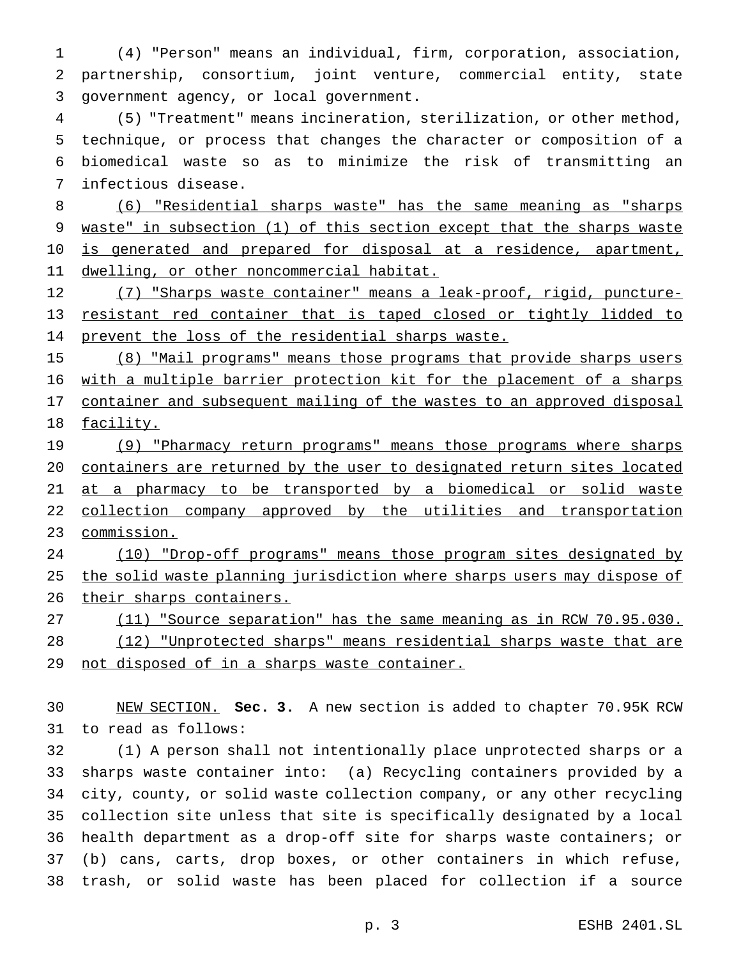(4) "Person" means an individual, firm, corporation, association, partnership, consortium, joint venture, commercial entity, state government agency, or local government.

 (5) "Treatment" means incineration, sterilization, or other method, technique, or process that changes the character or composition of a biomedical waste so as to minimize the risk of transmitting an infectious disease.

 (6) "Residential sharps waste" has the same meaning as "sharps 9 waste" in subsection (1) of this section except that the sharps waste 10 is generated and prepared for disposal at a residence, apartment, 11 dwelling, or other noncommercial habitat.

 (7) "Sharps waste container" means a leak-proof, rigid, puncture- resistant red container that is taped closed or tightly lidded to 14 prevent the loss of the residential sharps waste.

 (8) "Mail programs" means those programs that provide sharps users with a multiple barrier protection kit for the placement of a sharps 17 container and subsequent mailing of the wastes to an approved disposal facility.

19 (9) "Pharmacy return programs" means those programs where sharps containers are returned by the user to designated return sites located 21 at a pharmacy to be transported by a biomedical or solid waste 22 collection company approved by the utilities and transportation commission.

 (10) "Drop-off programs" means those program sites designated by 25 the solid waste planning jurisdiction where sharps users may dispose of 26 their sharps containers.

27 (11) "Source separation" has the same meaning as in RCW 70.95.030. (12) "Unprotected sharps" means residential sharps waste that are 29 not disposed of in a sharps waste container.

 NEW SECTION. **Sec. 3.** A new section is added to chapter 70.95K RCW to read as follows:

 (1) A person shall not intentionally place unprotected sharps or a sharps waste container into: (a) Recycling containers provided by a city, county, or solid waste collection company, or any other recycling collection site unless that site is specifically designated by a local health department as a drop-off site for sharps waste containers; or (b) cans, carts, drop boxes, or other containers in which refuse, trash, or solid waste has been placed for collection if a source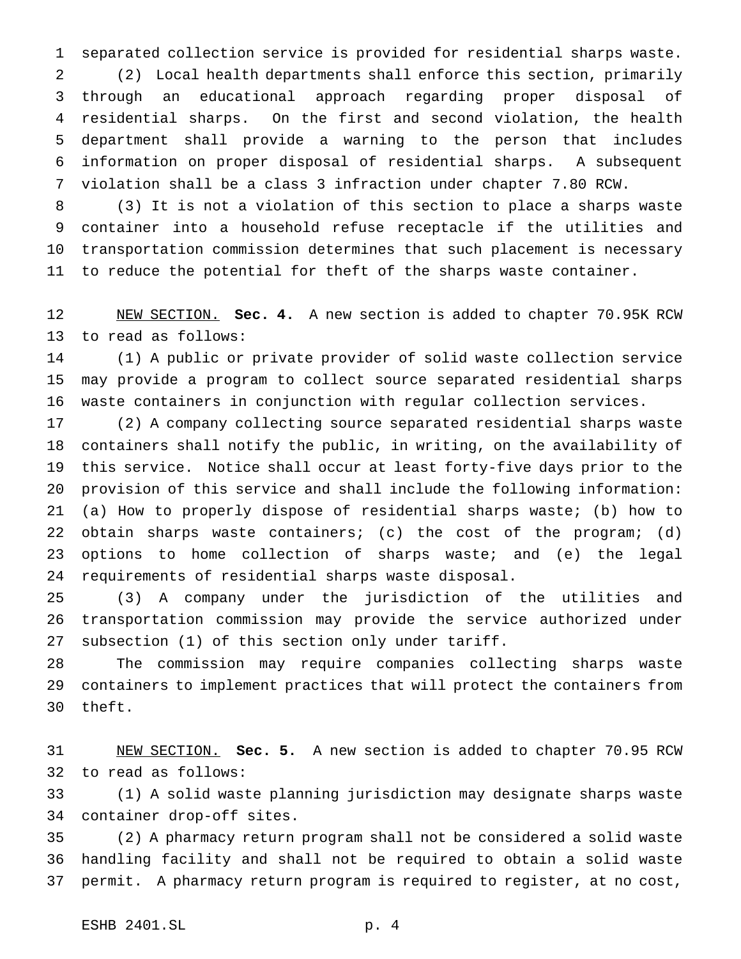separated collection service is provided for residential sharps waste.

 (2) Local health departments shall enforce this section, primarily through an educational approach regarding proper disposal of residential sharps. On the first and second violation, the health department shall provide a warning to the person that includes information on proper disposal of residential sharps. A subsequent violation shall be a class 3 infraction under chapter 7.80 RCW.

 (3) It is not a violation of this section to place a sharps waste container into a household refuse receptacle if the utilities and transportation commission determines that such placement is necessary to reduce the potential for theft of the sharps waste container.

 NEW SECTION. **Sec. 4.** A new section is added to chapter 70.95K RCW to read as follows:

 (1) A public or private provider of solid waste collection service may provide a program to collect source separated residential sharps waste containers in conjunction with regular collection services.

 (2) A company collecting source separated residential sharps waste containers shall notify the public, in writing, on the availability of this service. Notice shall occur at least forty-five days prior to the provision of this service and shall include the following information: (a) How to properly dispose of residential sharps waste; (b) how to obtain sharps waste containers; (c) the cost of the program; (d) options to home collection of sharps waste; and (e) the legal requirements of residential sharps waste disposal.

 (3) A company under the jurisdiction of the utilities and transportation commission may provide the service authorized under subsection (1) of this section only under tariff.

 The commission may require companies collecting sharps waste containers to implement practices that will protect the containers from theft.

 NEW SECTION. **Sec. 5.** A new section is added to chapter 70.95 RCW to read as follows:

 (1) A solid waste planning jurisdiction may designate sharps waste container drop-off sites.

 (2) A pharmacy return program shall not be considered a solid waste handling facility and shall not be required to obtain a solid waste permit. A pharmacy return program is required to register, at no cost,